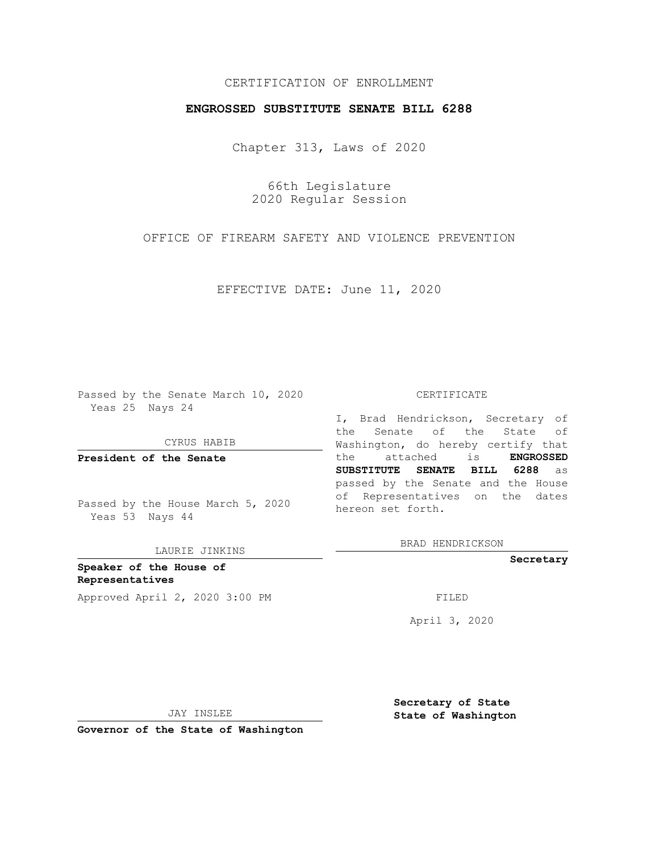## CERTIFICATION OF ENROLLMENT

## **ENGROSSED SUBSTITUTE SENATE BILL 6288**

Chapter 313, Laws of 2020

66th Legislature 2020 Regular Session

OFFICE OF FIREARM SAFETY AND VIOLENCE PREVENTION

EFFECTIVE DATE: June 11, 2020

Passed by the Senate March 10, 2020 Yeas 25 Nays 24

CYRUS HABIB

**President of the Senate**

Passed by the House March 5, 2020 Yeas 53 Nays 44

LAURIE JINKINS

**Speaker of the House of Representatives** Approved April 2, 2020 3:00 PM

#### CERTIFICATE

I, Brad Hendrickson, Secretary of the Senate of the State of Washington, do hereby certify that the attached is **ENGROSSED SUBSTITUTE SENATE BILL 6288** as passed by the Senate and the House of Representatives on the dates hereon set forth.

BRAD HENDRICKSON

**Secretary**

April 3, 2020

JAY INSLEE

**Secretary of State State of Washington**

**Governor of the State of Washington**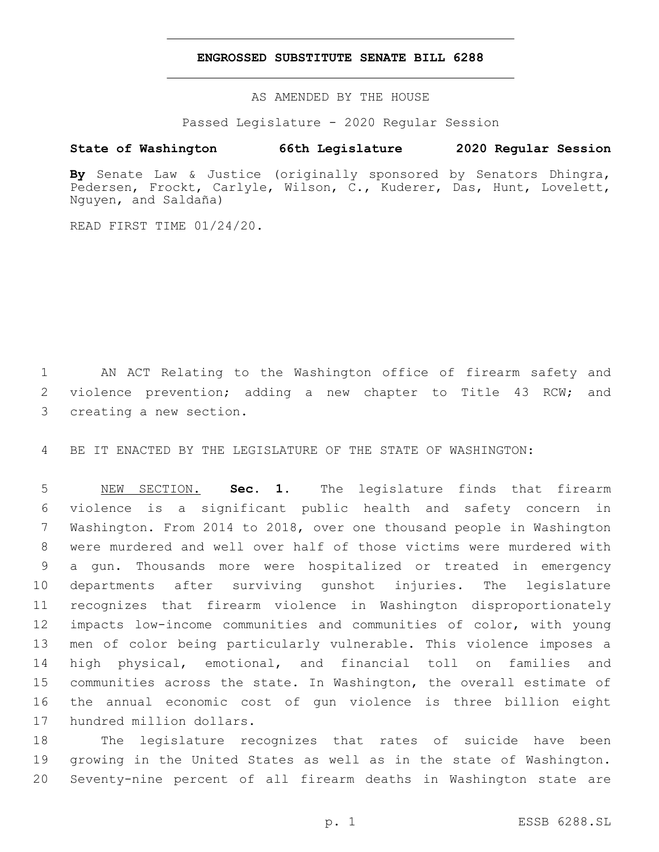### **ENGROSSED SUBSTITUTE SENATE BILL 6288**

AS AMENDED BY THE HOUSE

Passed Legislature - 2020 Regular Session

# **State of Washington 66th Legislature 2020 Regular Session**

**By** Senate Law & Justice (originally sponsored by Senators Dhingra, Pedersen, Frockt, Carlyle, Wilson, C., Kuderer, Das, Hunt, Lovelett, Nguyen, and Saldaña)

READ FIRST TIME 01/24/20.

 AN ACT Relating to the Washington office of firearm safety and violence prevention; adding a new chapter to Title 43 RCW; and 3 creating a new section.

BE IT ENACTED BY THE LEGISLATURE OF THE STATE OF WASHINGTON:

 NEW SECTION. **Sec. 1.** The legislature finds that firearm violence is a significant public health and safety concern in Washington. From 2014 to 2018, over one thousand people in Washington were murdered and well over half of those victims were murdered with a gun. Thousands more were hospitalized or treated in emergency departments after surviving gunshot injuries. The legislature recognizes that firearm violence in Washington disproportionately impacts low-income communities and communities of color, with young men of color being particularly vulnerable. This violence imposes a high physical, emotional, and financial toll on families and communities across the state. In Washington, the overall estimate of the annual economic cost of gun violence is three billion eight hundred million dollars.

 The legislature recognizes that rates of suicide have been growing in the United States as well as in the state of Washington. Seventy-nine percent of all firearm deaths in Washington state are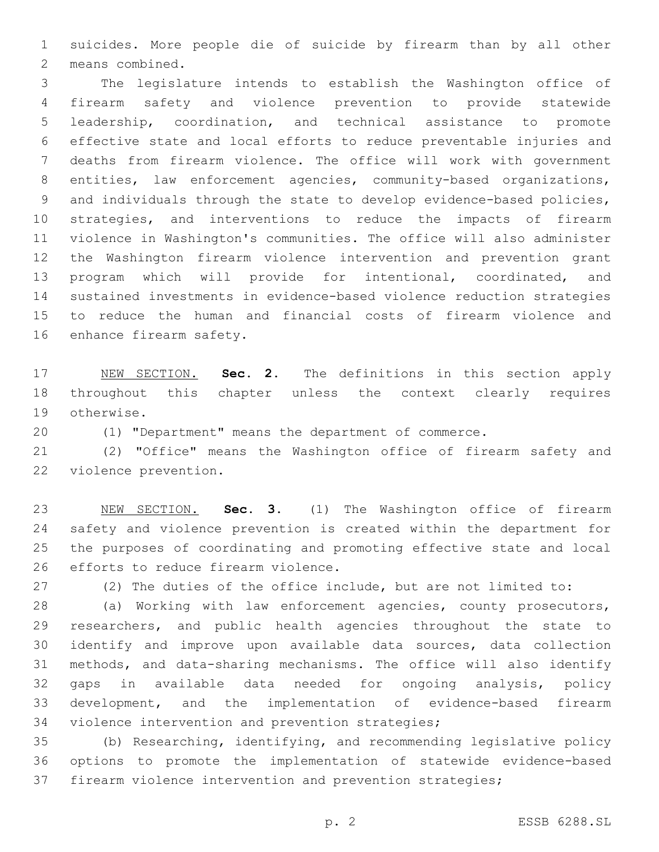suicides. More people die of suicide by firearm than by all other 2 means combined.

 The legislature intends to establish the Washington office of firearm safety and violence prevention to provide statewide leadership, coordination, and technical assistance to promote effective state and local efforts to reduce preventable injuries and deaths from firearm violence. The office will work with government entities, law enforcement agencies, community-based organizations, and individuals through the state to develop evidence-based policies, strategies, and interventions to reduce the impacts of firearm violence in Washington's communities. The office will also administer the Washington firearm violence intervention and prevention grant program which will provide for intentional, coordinated, and sustained investments in evidence-based violence reduction strategies to reduce the human and financial costs of firearm violence and 16 enhance firearm safety.

 NEW SECTION. **Sec. 2.** The definitions in this section apply throughout this chapter unless the context clearly requires otherwise.

(1) "Department" means the department of commerce.

 (2) "Office" means the Washington office of firearm safety and 22 violence prevention.

 NEW SECTION. **Sec. 3.** (1) The Washington office of firearm safety and violence prevention is created within the department for the purposes of coordinating and promoting effective state and local efforts to reduce firearm violence.

(2) The duties of the office include, but are not limited to:

 (a) Working with law enforcement agencies, county prosecutors, researchers, and public health agencies throughout the state to identify and improve upon available data sources, data collection methods, and data-sharing mechanisms. The office will also identify gaps in available data needed for ongoing analysis, policy development, and the implementation of evidence-based firearm 34 violence intervention and prevention strategies;

 (b) Researching, identifying, and recommending legislative policy options to promote the implementation of statewide evidence-based firearm violence intervention and prevention strategies;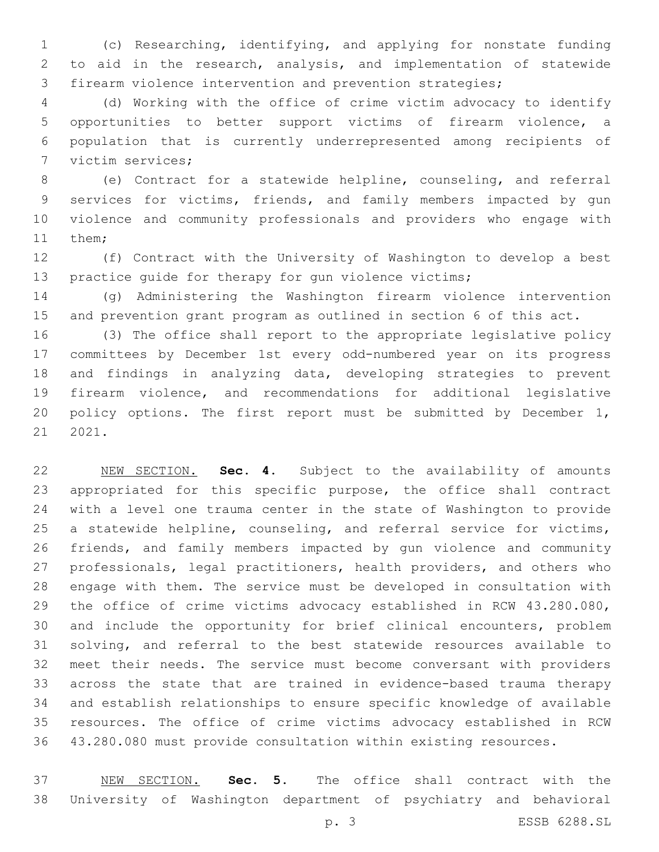(c) Researching, identifying, and applying for nonstate funding to aid in the research, analysis, and implementation of statewide firearm violence intervention and prevention strategies;

 (d) Working with the office of crime victim advocacy to identify opportunities to better support victims of firearm violence, a population that is currently underrepresented among recipients of 7 victim services;

 (e) Contract for a statewide helpline, counseling, and referral services for victims, friends, and family members impacted by gun violence and community professionals and providers who engage with 11 them;

 (f) Contract with the University of Washington to develop a best practice guide for therapy for gun violence victims;

 (g) Administering the Washington firearm violence intervention and prevention grant program as outlined in section 6 of this act.

 (3) The office shall report to the appropriate legislative policy committees by December 1st every odd-numbered year on its progress and findings in analyzing data, developing strategies to prevent firearm violence, and recommendations for additional legislative 20 policy options. The first report must be submitted by December 1, 2021.

 NEW SECTION. **Sec. 4.** Subject to the availability of amounts appropriated for this specific purpose, the office shall contract with a level one trauma center in the state of Washington to provide a statewide helpline, counseling, and referral service for victims, friends, and family members impacted by gun violence and community professionals, legal practitioners, health providers, and others who engage with them. The service must be developed in consultation with the office of crime victims advocacy established in RCW 43.280.080, and include the opportunity for brief clinical encounters, problem solving, and referral to the best statewide resources available to meet their needs. The service must become conversant with providers across the state that are trained in evidence-based trauma therapy and establish relationships to ensure specific knowledge of available resources. The office of crime victims advocacy established in RCW 43.280.080 must provide consultation within existing resources.

 NEW SECTION. **Sec. 5.** The office shall contract with the University of Washington department of psychiatry and behavioral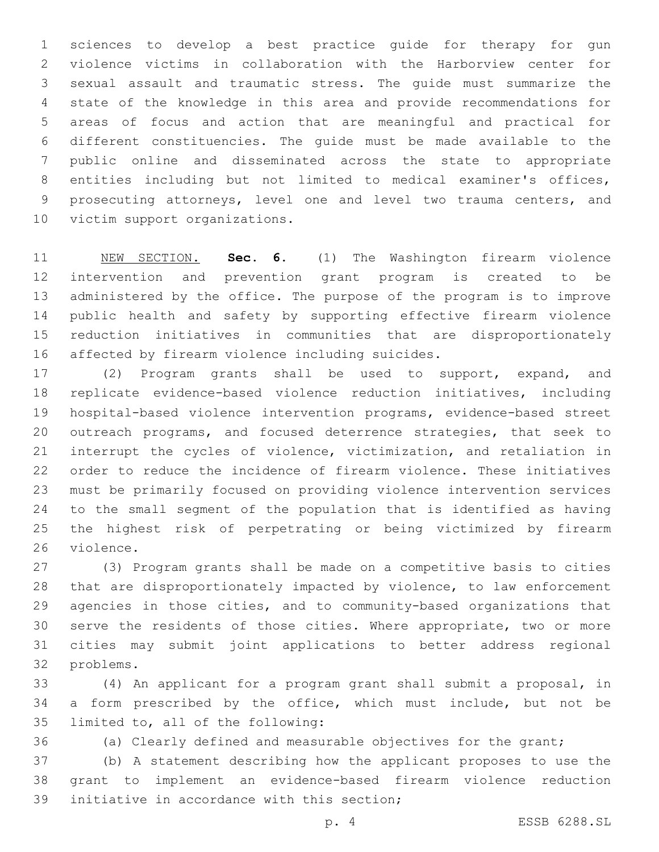sciences to develop a best practice guide for therapy for gun violence victims in collaboration with the Harborview center for sexual assault and traumatic stress. The guide must summarize the state of the knowledge in this area and provide recommendations for areas of focus and action that are meaningful and practical for different constituencies. The guide must be made available to the public online and disseminated across the state to appropriate entities including but not limited to medical examiner's offices, prosecuting attorneys, level one and level two trauma centers, and 10 victim support organizations.

 NEW SECTION. **Sec. 6.** (1) The Washington firearm violence intervention and prevention grant program is created to be administered by the office. The purpose of the program is to improve public health and safety by supporting effective firearm violence reduction initiatives in communities that are disproportionately affected by firearm violence including suicides.

 (2) Program grants shall be used to support, expand, and replicate evidence-based violence reduction initiatives, including hospital-based violence intervention programs, evidence-based street outreach programs, and focused deterrence strategies, that seek to interrupt the cycles of violence, victimization, and retaliation in order to reduce the incidence of firearm violence. These initiatives must be primarily focused on providing violence intervention services to the small segment of the population that is identified as having the highest risk of perpetrating or being victimized by firearm 26 violence.

 (3) Program grants shall be made on a competitive basis to cities that are disproportionately impacted by violence, to law enforcement agencies in those cities, and to community-based organizations that serve the residents of those cities. Where appropriate, two or more cities may submit joint applications to better address regional 32 problems.

 (4) An applicant for a program grant shall submit a proposal, in a form prescribed by the office, which must include, but not be 35 limited to, all of the following:

(a) Clearly defined and measurable objectives for the grant;

 (b) A statement describing how the applicant proposes to use the grant to implement an evidence-based firearm violence reduction 39 initiative in accordance with this section;